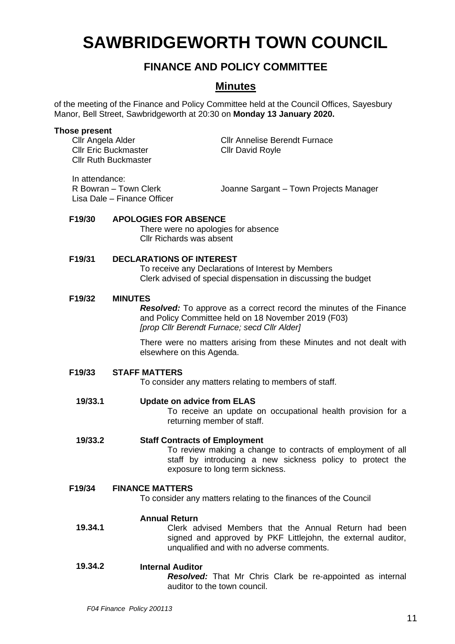# **SAWBRIDGEWORTH TOWN COUNCIL**

# **FINANCE AND POLICY COMMITTEE**

# **Minutes**

of the meeting of the Finance and Policy Committee held at the Council Offices, Sayesbury Manor, Bell Street, Sawbridgeworth at 20:30 on **Monday 13 January 2020.**

# **Those present**

Cllr Eric Buckmaster Cllr David Royle Cllr Ruth Buckmaster

Cllr Angela Alder Cllr Annelise Berendt Furnace

In attendance:<br>R Bowran – Town Clerk Lisa Dale – Finance Officer

Joanne Sargant – Town Projects Manager

# **F19/30 APOLOGIES FOR ABSENCE**

There were no apologies for absence Cllr Richards was absent

# **F19/31 DECLARATIONS OF INTEREST**

To receive any Declarations of Interest by Members Clerk advised of special dispensation in discussing the budget

## **F19/32 MINUTES**

*Resolved:* To approve as a correct record the minutes of the Finance and Policy Committee held on 18 November 2019 (F03) *[prop Cllr Berendt Furnace; secd Cllr Alder]*

There were no matters arising from these Minutes and not dealt with elsewhere on this Agenda.

#### **F19/33 STAFF MATTERS**

To consider any matters relating to members of staff.

- **19/33.1 Update on advice from ELAS** To receive an update on occupational health provision for a returning member of staff.
- **19/33.2 Staff Contracts of Employment** To review making a change to contracts of employment of all staff by introducing a new sickness policy to protect the exposure to long term sickness.

#### **F19/34 FINANCE MATTERS**

To consider any matters relating to the finances of the Council

## **Annual Return**

**19.34.1** Clerk advised Members that the Annual Return had been signed and approved by PKF Littlejohn, the external auditor, unqualified and with no adverse comments.

#### **19.34.2 Internal Auditor**

*Resolved:* That Mr Chris Clark be re-appointed as internal auditor to the town council.